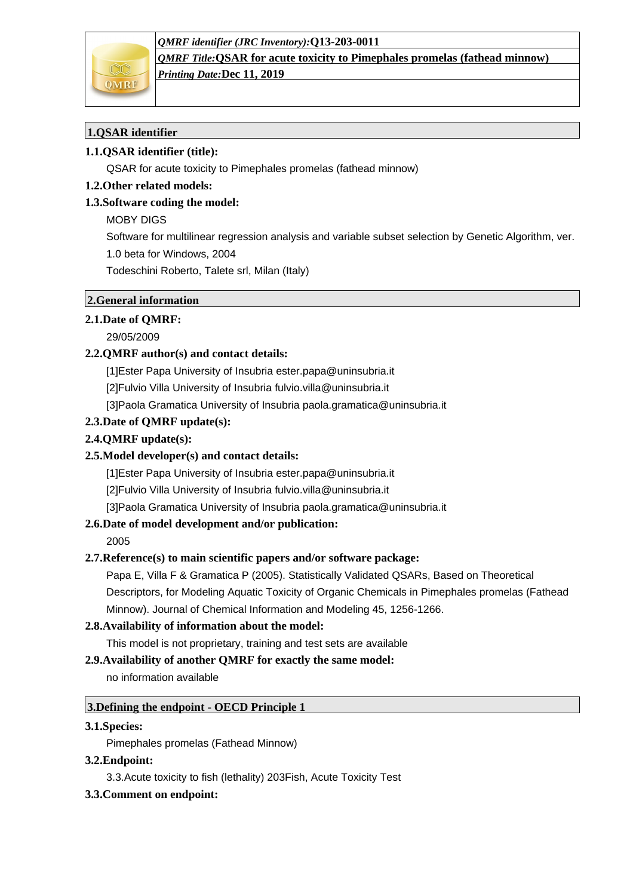### *QMRF identifier (JRC Inventory):***Q13-203-0011**



*QMRF Title:***QSAR for acute toxicity to Pimephales promelas (fathead minnow)** *Printing Date:***Dec 11, 2019**

# **1.QSAR identifier**

# **1.1.QSAR identifier (title):**

QSAR for acute toxicity to Pimephales promelas (fathead minnow)

## **1.2.Other related models:**

## **1.3.Software coding the model:**

## MOBY DIGS

Software for multilinear regression analysis and variable subset selection by Genetic Algorithm, ver.

1.0 beta for Windows, 2004

Todeschini Roberto, Talete srl, Milan (Italy)

# **2.General information**

## **2.1.Date of QMRF:**

29/05/2009

## **2.2.QMRF author(s) and contact details:**

[1]Ester Papa University of Insubria ester.papa@uninsubria.it

[2]Fulvio Villa University of Insubria fulvio.villa@uninsubria.it

[3]Paola Gramatica University of Insubria paola.gramatica@uninsubria.it

### **2.3.Date of QMRF update(s):**

## **2.4.QMRF update(s):**

## **2.5.Model developer(s) and contact details:**

[1]Ester Papa University of Insubria ester.papa@uninsubria.it

[2]Fulvio Villa University of Insubria fulvio.villa@uninsubria.it

[3]Paola Gramatica University of Insubria paola.gramatica@uninsubria.it

## **2.6.Date of model development and/or publication:**

2005

## **2.7.Reference(s) to main scientific papers and/or software package:**

Papa E, Villa F & Gramatica P (2005). Statistically Validated QSARs, Based on Theoretical Descriptors, for Modeling Aquatic Toxicity of Organic Chemicals in Pimephales promelas (Fathead Minnow). Journal of Chemical Information and Modeling 45, 1256-1266.

## **2.8.Availability of information about the model:**

This model is not proprietary, training and test sets are available

## **2.9.Availability of another QMRF for exactly the same model:**

no information available

## **3.Defining the endpoint - OECD Principle 1**

## **3.1.Species:**

Pimephales promelas (Fathead Minnow)

## **3.2.Endpoint:**

3.3.Acute toxicity to fish (lethality) 203Fish, Acute Toxicity Test

## **3.3.Comment on endpoint:**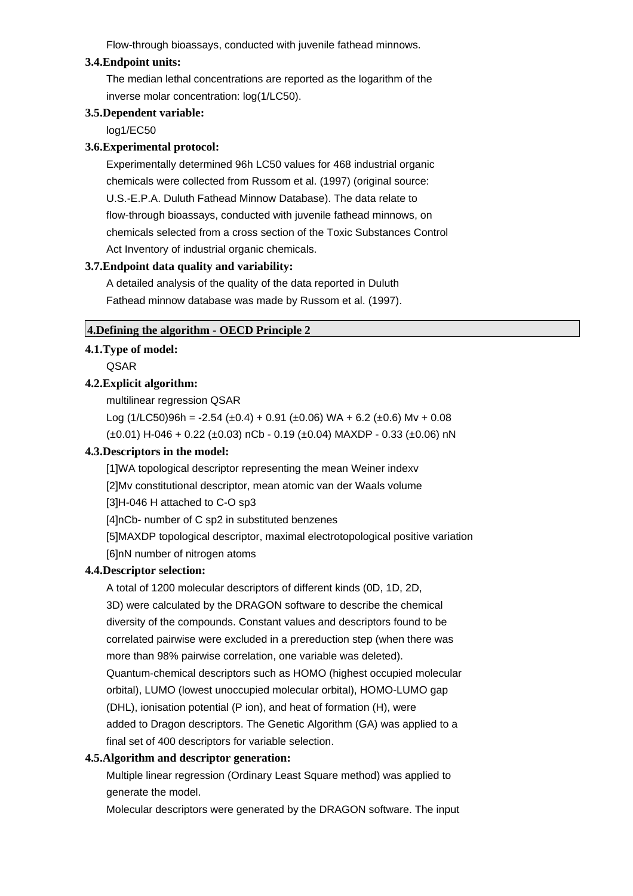Flow-through bioassays, conducted with juvenile fathead minnows.

#### **3.4.Endpoint units:**

The median lethal concentrations are reported as the logarithm of the inverse molar concentration: log(1/LC50).

#### **3.5.Dependent variable:**

log1/EC50

### **3.6.Experimental protocol:**

Experimentally determined 96h LC50 values for 468 industrial organic chemicals were collected from Russom et al. (1997) (original source: U.S.-E.P.A. Duluth Fathead Minnow Database). The data relate to flow-through bioassays, conducted with juvenile fathead minnows, on chemicals selected from a cross section of the Toxic Substances Control Act Inventory of industrial organic chemicals.

## **3.7.Endpoint data quality and variability:**

A detailed analysis of the quality of the data reported in Duluth Fathead minnow database was made by Russom et al. (1997).

### **4.Defining the algorithm - OECD Principle 2**

## **4.1.Type of model:**

QSAR

### **4.2.Explicit algorithm:**

multilinear regression QSAR

Log  $(1/LC50)96h = -2.54 (\pm 0.4) + 0.91 (\pm 0.06) WA + 6.2 (\pm 0.6) My + 0.08$ (±0.01) H-046 + 0.22 (±0.03) nCb - 0.19 (±0.04) MAXDP - 0.33 (±0.06) nN

## **4.3.Descriptors in the model:**

[1]WA topological descriptor representing the mean Weiner indexv

[2]Mv constitutional descriptor, mean atomic van der Waals volume

[3]H-046 H attached to C-O sp3

[4]nCb- number of C sp2 in substituted benzenes

[5]MAXDP topological descriptor, maximal electrotopological positive variation [6]nN number of nitrogen atoms

#### **4.4.Descriptor selection:**

A total of 1200 molecular descriptors of different kinds (0D, 1D, 2D, 3D) were calculated by the DRAGON software to describe the chemical diversity of the compounds. Constant values and descriptors found to be correlated pairwise were excluded in a prereduction step (when there was more than 98% pairwise correlation, one variable was deleted). Quantum-chemical descriptors such as HOMO (highest occupied molecular orbital), LUMO (lowest unoccupied molecular orbital), HOMO-LUMO gap (DHL), ionisation potential (P ion), and heat of formation (H), were added to Dragon descriptors. The Genetic Algorithm (GA) was applied to a final set of 400 descriptors for variable selection.

## **4.5.Algorithm and descriptor generation:**

Multiple linear regression (Ordinary Least Square method) was applied to generate the model.

Molecular descriptors were generated by the DRAGON software. The input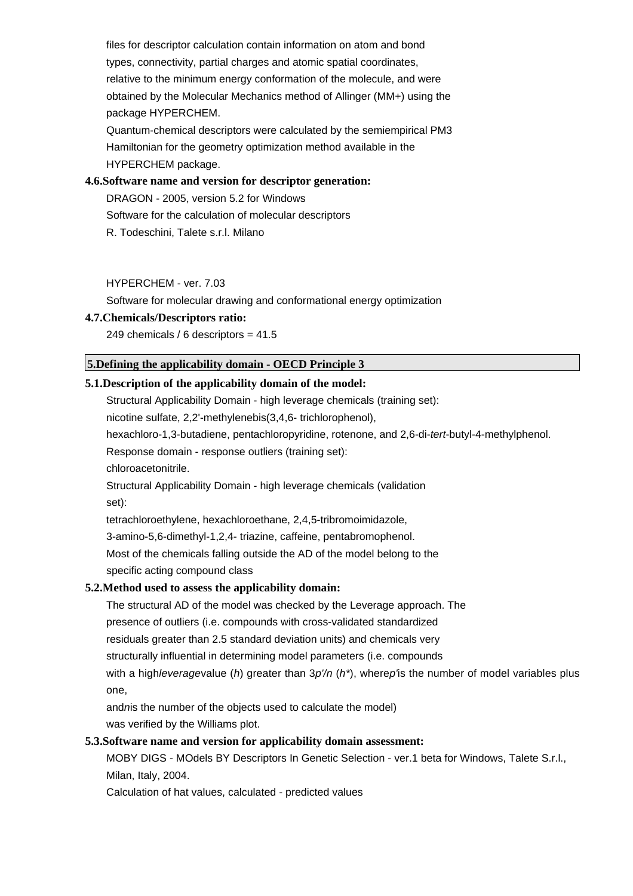files for descriptor calculation contain information on atom and bond types, connectivity, partial charges and atomic spatial coordinates, relative to the minimum energy conformation of the molecule, and were obtained by the Molecular Mechanics method of Allinger (MM+) using the package HYPERCHEM.

Quantum-chemical descriptors were calculated by the semiempirical PM3 Hamiltonian for the geometry optimization method available in the HYPERCHEM package.

#### **4.6.Software name and version for descriptor generation:**

DRAGON - 2005, version 5.2 for Windows Software for the calculation of molecular descriptors R. Todeschini, Talete s.r.l. Milano

#### HYPERCHEM - ver. 7.03

Software for molecular drawing and conformational energy optimization

#### **4.7.Chemicals/Descriptors ratio:**

249 chemicals / 6 descriptors = 41.5

## **5.Defining the applicability domain - OECD Principle 3**

## **5.1.Description of the applicability domain of the model:**

Structural Applicability Domain - high leverage chemicals (training set): nicotine sulfate, 2,2'-methylenebis(3,4,6- trichlorophenol),

hexachloro-1,3-butadiene, pentachloropyridine, rotenone, and 2,6-di-tert-butyl-4-methylphenol.

Response domain - response outliers (training set):

chloroacetonitrile.

Structural Applicability Domain - high leverage chemicals (validation set):

tetrachloroethylene, hexachloroethane, 2,4,5-tribromoimidazole,

3-amino-5,6-dimethyl-1,2,4- triazine, caffeine, pentabromophenol.

Most of the chemicals falling outside the AD of the model belong to the

specific acting compound class

#### **5.2.Method used to assess the applicability domain:**

The structural AD of the model was checked by the Leverage approach. The

presence of outliers (i.e. compounds with cross-validated standardized

residuals greater than 2.5 standard deviation units) and chemicals very

structurally influential in determining model parameters (i.e. compounds

with a highleveragevalue (h) greater than  $3p'/n$  (h<sup>\*</sup>), wherep's the number of model variables plus one,

andnis the number of the objects used to calculate the model) was verified by the Williams plot.

## **5.3.Software name and version for applicability domain assessment:**

MOBY DIGS - MOdels BY Descriptors In Genetic Selection - ver.1 beta for Windows, Talete S.r.l., Milan, Italy, 2004.

Calculation of hat values, calculated - predicted values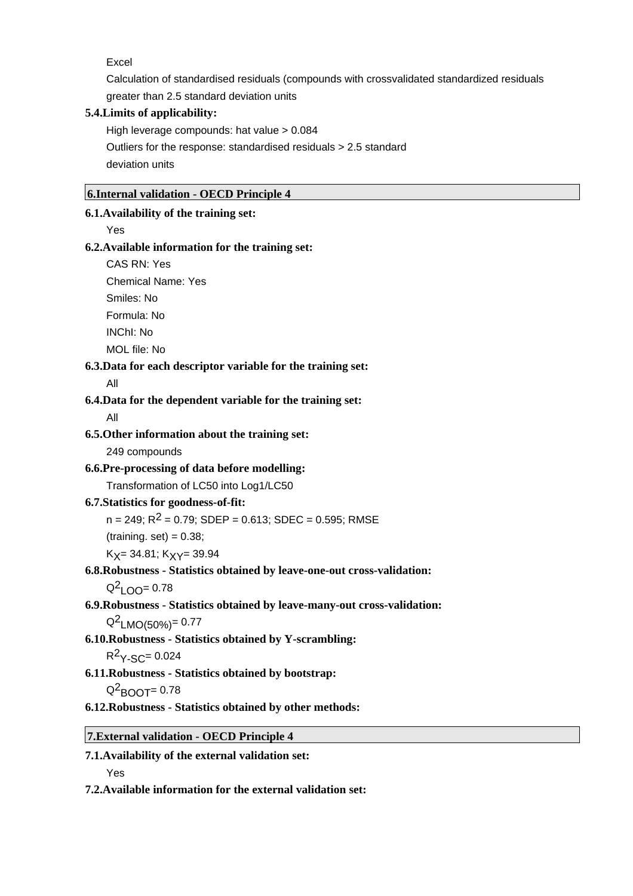Excel

Calculation of standardised residuals (compounds with crossvalidated standardized residuals greater than 2.5 standard deviation units

## **5.4.Limits of applicability:**

High leverage compounds: hat value > 0.084 Outliers for the response: standardised residuals > 2.5 standard deviation units

### **6.Internal validation - OECD Principle 4**

#### **6.1.Availability of the training set:**

Yes

#### **6.2.Available information for the training set:**

CAS RN: Yes

Chemical Name: Yes

Smiles: No

Formula: No

INChI: No

MOL file: No

### **6.3.Data for each descriptor variable for the training set:**

All

### **6.4.Data for the dependent variable for the training set:**

All

### **6.5.Other information about the training set:**

249 compounds

#### **6.6.Pre-processing of data before modelling:**

Transformation of LC50 into Log1/LC50

## **6.7.Statistics for goodness-of-fit:**

 $n = 249$ ;  $R^2 = 0.79$ ; SDEP = 0.613; SDEC = 0.595; RMSE

 $(training. set) = 0.38;$ 

 $K_X$ = 34.81;  $K_X$  $\gamma$ = 39.94

## **6.8.Robustness - Statistics obtained by leave-one-out cross-validation:**

 $Q^2$ <sub>LOO</sub>= 0.78

**6.9.Robustness - Statistics obtained by leave-many-out cross-validation:**

 $Q^2$ <sub>LMO(50%)</sub>= 0.77

**6.10.Robustness - Statistics obtained by Y-scrambling:**

 $R^2$  $Y-SC= 0.024$ 

**6.11.Robustness - Statistics obtained by bootstrap:**

 $Q^2$ BOOT= 0.78

**6.12.Robustness - Statistics obtained by other methods:**

**7.External validation - OECD Principle 4**

**7.1.Availability of the external validation set:**

Yes

**7.2.Available information for the external validation set:**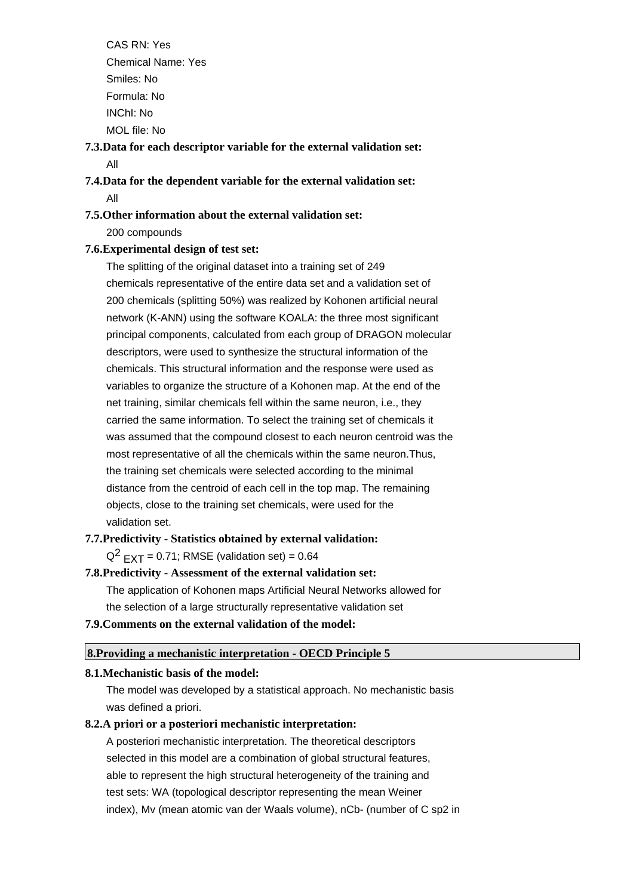CAS RN: Yes Chemical Name: Yes Smiles: No Formula: No INChI: No MOL file: No

**7.3.Data for each descriptor variable for the external validation set:** All

**7.4.Data for the dependent variable for the external validation set:** All

# **7.5.Other information about the external validation set:**

200 compounds

## **7.6.Experimental design of test set:**

The splitting of the original dataset into a training set of 249 chemicals representative of the entire data set and a validation set of 200 chemicals (splitting 50%) was realized by Kohonen artificial neural network (K-ANN) using the software KOALA: the three most significant principal components, calculated from each group of DRAGON molecular descriptors, were used to synthesize the structural information of the chemicals. This structural information and the response were used as variables to organize the structure of a Kohonen map. At the end of the net training, similar chemicals fell within the same neuron, i.e., they carried the same information. To select the training set of chemicals it was assumed that the compound closest to each neuron centroid was the most representative of all the chemicals within the same neuron.Thus, the training set chemicals were selected according to the minimal distance from the centroid of each cell in the top map. The remaining objects, close to the training set chemicals, were used for the validation set.

## **7.7.Predictivity - Statistics obtained by external validation:**

 $Q^2$   $EXT = 0.71$ ; RMSE (validation set) = 0.64

# **7.8.Predictivity - Assessment of the external validation set:**

The application of Kohonen maps Artificial Neural Networks allowed for

the selection of a large structurally representative validation set

## **7.9.Comments on the external validation of the model:**

## **8.Providing a mechanistic interpretation - OECD Principle 5**

## **8.1.Mechanistic basis of the model:**

The model was developed by a statistical approach. No mechanistic basis was defined a priori.

## **8.2.A priori or a posteriori mechanistic interpretation:**

A posteriori mechanistic interpretation. The theoretical descriptors selected in this model are a combination of global structural features, able to represent the high structural heterogeneity of the training and test sets: WA (topological descriptor representing the mean Weiner index), Mv (mean atomic van der Waals volume), nCb- (number of C sp2 in